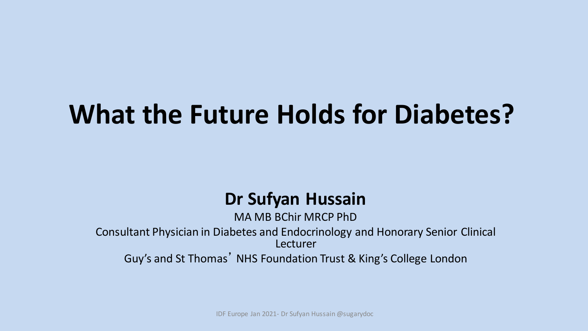# **What the Future Holds for Diabetes?**

### **Dr Sufyan Hussain**

MA MB BChir MRCP PhD Consultant Physician in Diabetes and Endocrinology and Honorary Senior Clinical Lecturer Guy's and St Thomas' NHS Foundation Trust & King's College London

IDF Europe Jan 2021- Dr Sufyan Hussain @sugarydoc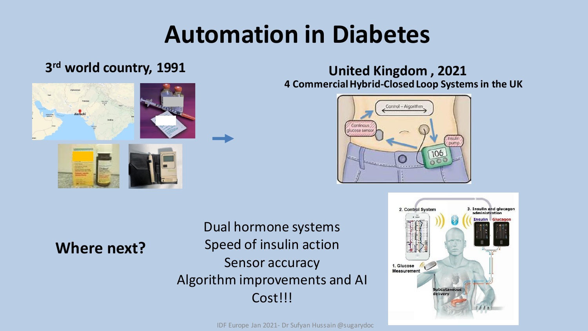## **Automation in Diabetes**

#### **3 rd world country, 1991**



#### **United Kingdom , 2021 4 Commercial Hybrid-Closed Loop Systems in the UK**



### **Where next?**

Dual hormone systems Speed of insulin action Sensor accuracy Algorithm improvements and AI Cost!!!



IDF Europe Jan 2021- Dr Sufyan Hussain @sugarydoc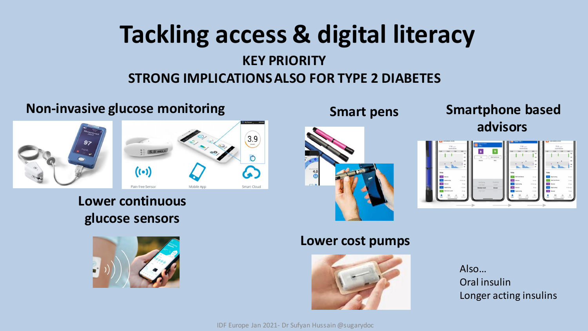## **Tackling access & digital literacy**

### **KEY PRIORITY STRONG IMPLICATIONS ALSO FOR TYPE 2 DIABETES**

### **Non-invasive glucose monitoring <b>SMS** Smart pens



**Lower continuous glucose sensors**





### **Smartphone based advisors**



#### **Lower cost pumps**



Also… Oral insulin Longer acting insulins

IDF Europe Jan 2021- Dr Sufyan Hussain @sugarydoc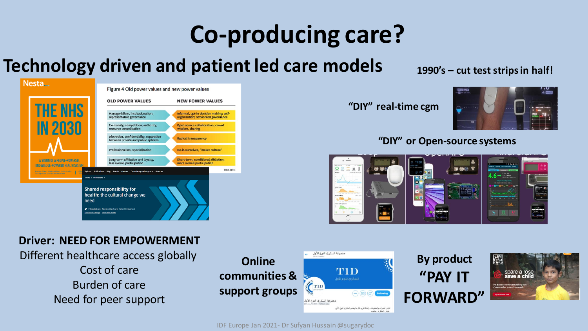# **Co-producing care?**

### **Technology driven and patient led care models**

|                                                                                                             | <b>OLD POWER VALUES</b>                                                                                                      | <b>NEW POWER VALUES</b>                                                       |
|-------------------------------------------------------------------------------------------------------------|------------------------------------------------------------------------------------------------------------------------------|-------------------------------------------------------------------------------|
| <b>THE NHS</b>                                                                                              | Managerialism, institutionalism,<br>representative governance                                                                | Informal, opt-in decision making; self-<br>organization; networked governance |
| <b>IN 2030</b>                                                                                              | Exclusivity, competition, authority,<br>resource consolidation                                                               | Open source collaboration, crowd<br>wisdom, sharing                           |
|                                                                                                             | Discretion, confidentiality, separation<br>between private and public spheres                                                | <b>Radical transparency</b>                                                   |
|                                                                                                             | Professionalism, specialization                                                                                              | Do-it-ourselves, "maker culture"                                              |
| A VISION OF A PEOPLE-POWERED.<br><b>KNOWLEDGE-POWERED HEALTH SYSTEM</b>                                     | Long-term affiliation and loyalty,<br>less overall participation                                                             | Short-term, conditional affiliation:<br>more overall participation            |
| Jessica Bland, Halima Khan, John Loder,<br>Topics -<br><b>Publications</b><br>Tom Symons and Stian Westlake | Events Courses Consultancy and support > About us<br><b>Blog</b>                                                             | <b>HBR.ORG</b>                                                                |
| Home > Publications ><br>need<br>Local service design Population health                                     | <b>Shared responsibility for</b><br>health: the cultural change we<br>Integrated care New models of care Patient involvement |                                                                               |

#### **Driver: NEED FOR EMPOWERMENT**

Different healthcare access globally

Cost of care Burden of care Need for peer support



IDF Europe Jan 2021- Dr Sufyan Hussain @sugarydoc

**1990's – cut test strips in half!** 



#### **"DIY" or Open-source systems**



**"DIY" real-time cgm**

**By product**

**"PAY IT** 

**FORWARD"**